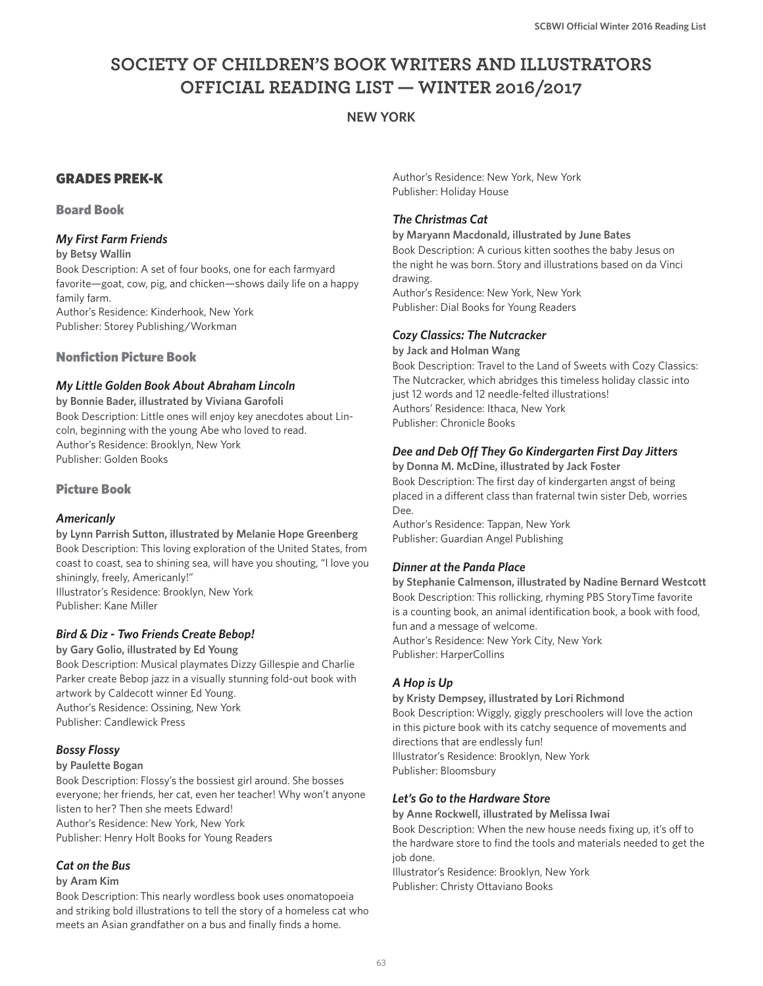# **SOCIETY OF CHILDREN'S BOOK WRITERS AND ILLUSTRATORS OFFICIAL READING LIST — WINTER 2016/2017**

## **NEW YORK**

## GRADES PREK-K

## Board Book

## *My First Farm Friends*

**by Betsy Wallin**

Book Description: A set of four books, one for each farmyard favorite—goat, cow, pig, and chicken—shows daily life on a happy family farm. Author's Residence: Kinderhook, New York

Publisher: Storey Publishing/Workman

## Nonfiction Picture Book

## *My Little Golden Book About Abraham Lincoln*

**by Bonnie Bader, illustrated by Viviana Garofoli** Book Description: Little ones will enjoy key anecdotes about Lincoln, beginning with the young Abe who loved to read. Author's Residence: Brooklyn, New York Publisher: Golden Books

## Picture Book

## *Americanly*

**by Lynn Parrish Sutton, illustrated by Melanie Hope Greenberg** Book Description: This loving exploration of the United States, from coast to coast, sea to shining sea, will have you shouting, "I love you shiningly, freely, Americanly!" Illustrator's Residence: Brooklyn, New York Publisher: Kane Miller

## *Bird & Diz - Two Friends Create Bebop!*

**by Gary Golio, illustrated by Ed Young** Book Description: Musical playmates Dizzy Gillespie and Charlie Parker create Bebop jazz in a visually stunning fold-out book with artwork by Caldecott winner Ed Young. Author's Residence: Ossining, New York Publisher: Candlewick Press

## *Bossy Flossy*

### **by Paulette Bogan**

Book Description: Flossy's the bossiest girl around. She bosses everyone; her friends, her cat, even her teacher! Why won't anyone listen to her? Then she meets Edward! Author's Residence: New York, New York Publisher: Henry Holt Books for Young Readers

### *Cat on the Bus*

### **by Aram Kim**

Book Description: This nearly wordless book uses onomatopoeia and striking bold illustrations to tell the story of a homeless cat who meets an Asian grandfather on a bus and finally finds a home.

Author's Residence: New York, New York Publisher: Holiday House

## *The Christmas Cat*

**by Maryann Macdonald, illustrated by June Bates** Book Description: A curious kitten soothes the baby Jesus on the night he was born. Story and illustrations based on da Vinci drawing. Author's Residence: New York, New York

Publisher: Dial Books for Young Readers

## *Cozy Classics: The Nutcracker*

**by Jack and Holman Wang** Book Description: Travel to the Land of Sweets with Cozy Classics: The Nutcracker, which abridges this timeless holiday classic into just 12 words and 12 needle-felted illustrations! Authors' Residence: Ithaca, New York Publisher: Chronicle Books

## *Dee and Deb Off They Go Kindergarten First Day Jitters*

**by Donna M. McDine, illustrated by Jack Foster** Book Description: The first day of kindergarten angst of being placed in a different class than fraternal twin sister Deb, worries Dee.

Author's Residence: Tappan, New York Publisher: Guardian Angel Publishing

## *Dinner at the Panda Place*

**by Stephanie Calmenson, illustrated by Nadine Bernard Westcott** Book Description: This rollicking, rhyming PBS StoryTime favorite is a counting book, an animal identification book, a book with food, fun and a message of welcome. Author's Residence: New York City, New York Publisher: HarperCollins

## *A Hop is Up*

**by Kristy Dempsey, illustrated by Lori Richmond** Book Description: Wiggly, giggly preschoolers will love the action in this picture book with its catchy sequence of movements and directions that are endlessly fun! Illustrator's Residence: Brooklyn, New York Publisher: Bloomsbury

## *Let's Go to the Hardware Store*

**by Anne Rockwell, illustrated by Melissa Iwai**  Book Description: When the new house needs fixing up, it's off to

the hardware store to find the tools and materials needed to get the job done.

Illustrator's Residence: Brooklyn, New York Publisher: Christy Ottaviano Books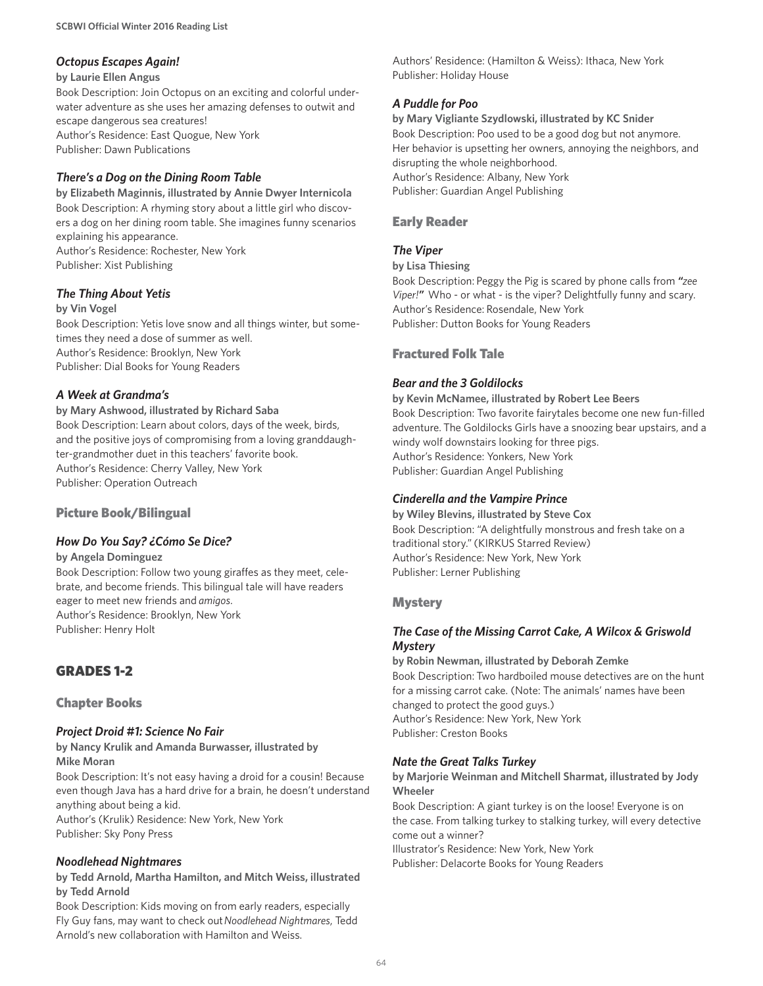## *Octopus Escapes Again!*

#### **by Laurie Ellen Angus**

Book Description: Join Octopus on an exciting and colorful underwater adventure as she uses her amazing defenses to outwit and escape dangerous sea creatures! Author's Residence: East Quogue, New York Publisher: Dawn Publications

## *There's a Dog on the Dining Room Table*

**by Elizabeth Maginnis, illustrated by Annie Dwyer Internicola** Book Description: A rhyming story about a little girl who discovers a dog on her dining room table. She imagines funny scenarios explaining his appearance.

Author's Residence: Rochester, New York Publisher: Xist Publishing

### *The Thing About Yetis*

#### **by Vin Vogel**

Book Description: Yetis love snow and all things winter, but sometimes they need a dose of summer as well. Author's Residence: Brooklyn, New York Publisher: Dial Books for Young Readers

## *A Week at Grandma's*

**by Mary Ashwood, illustrated by Richard Saba** Book Description: Learn about colors, days of the week, birds, and the positive joys of compromising from a loving granddaugh-

ter-grandmother duet in this teachers' favorite book. Author's Residence: Cherry Valley, New York Publisher: Operation Outreach

## Picture Book/Bilingual

### *How Do You Say? ¿Cómo Se Dice?*

**by Angela Dominguez**

Book Description: Follow two young giraffes as they meet, celebrate, and become friends. This bilingual tale will have readers eager to meet new friends and *amigos*. Author's Residence: Brooklyn, New York Publisher: Henry Holt

## GRADES 1-2

Chapter Books

### *Project Droid #1: Science No Fair*

**by Nancy Krulik and Amanda Burwasser, illustrated by Mike Moran** 

Book Description: It's not easy having a droid for a cousin! Because even though Java has a hard drive for a brain, he doesn't understand anything about being a kid.

Author's (Krulik) Residence: New York, New York Publisher: Sky Pony Press

### *Noodlehead Nightmares*

**by Tedd Arnold, Martha Hamilton, and Mitch Weiss, illustrated by Tedd Arnold**

Book Description: Kids moving on from early readers, especially Fly Guy fans, may want to check out *Noodlehead Nightmares*, Tedd Arnold's new collaboration with Hamilton and Weiss.

Authors' Residence: (Hamilton & Weiss): Ithaca, New York Publisher: Holiday House

## *A Puddle for Poo*

**by Mary Vigliante Szydlowski, illustrated by KC Snider** Book Description: Poo used to be a good dog but not anymore. Her behavior is upsetting her owners, annoying the neighbors, and disrupting the whole neighborhood. Author's Residence: Albany, New York Publisher: Guardian Angel Publishing

## Early Reader

## *The Viper*

**by Lisa Thiesing**

Book Description: Peggy the Pig is scared by phone calls from *"zee Viper!"* Who - or what - is the viper? Delightfully funny and scary. Author's Residence: Rosendale, New York Publisher: Dutton Books for Young Readers

## Fractured Folk Tale

## *Bear and the 3 Goldilocks*

**by Kevin McNamee, illustrated by Robert Lee Beers**

Book Description: Two favorite fairytales become one new fun-filled adventure. The Goldilocks Girls have a snoozing bear upstairs, and a windy wolf downstairs looking for three pigs. Author's Residence: Yonkers, New York Publisher: Guardian Angel Publishing

## *Cinderella and the Vampire Prince*

**by Wiley Blevins, illustrated by Steve Cox** Book Description: "A delightfully monstrous and fresh take on a traditional story." (KIRKUS Starred Review) Author's Residence: New York, New York Publisher: Lerner Publishing

## **Mystery**

## *The Case of the Missing Carrot Cake, A Wilcox & Griswold Mystery*

**by Robin Newman, illustrated by Deborah Zemke**  Book Description: Two hardboiled mouse detectives are on the hunt for a missing carrot cake. (Note: The animals' names have been changed to protect the good guys.) Author's Residence: New York, New York Publisher: Creston Books

## *Nate the Great Talks Turkey*

**by Marjorie Weinman and Mitchell Sharmat, illustrated by Jody Wheeler**

Book Description: A giant turkey is on the loose! Everyone is on the case. From talking turkey to stalking turkey, will every detective come out a winner?

Illustrator's Residence: New York, New York Publisher: Delacorte Books for Young Readers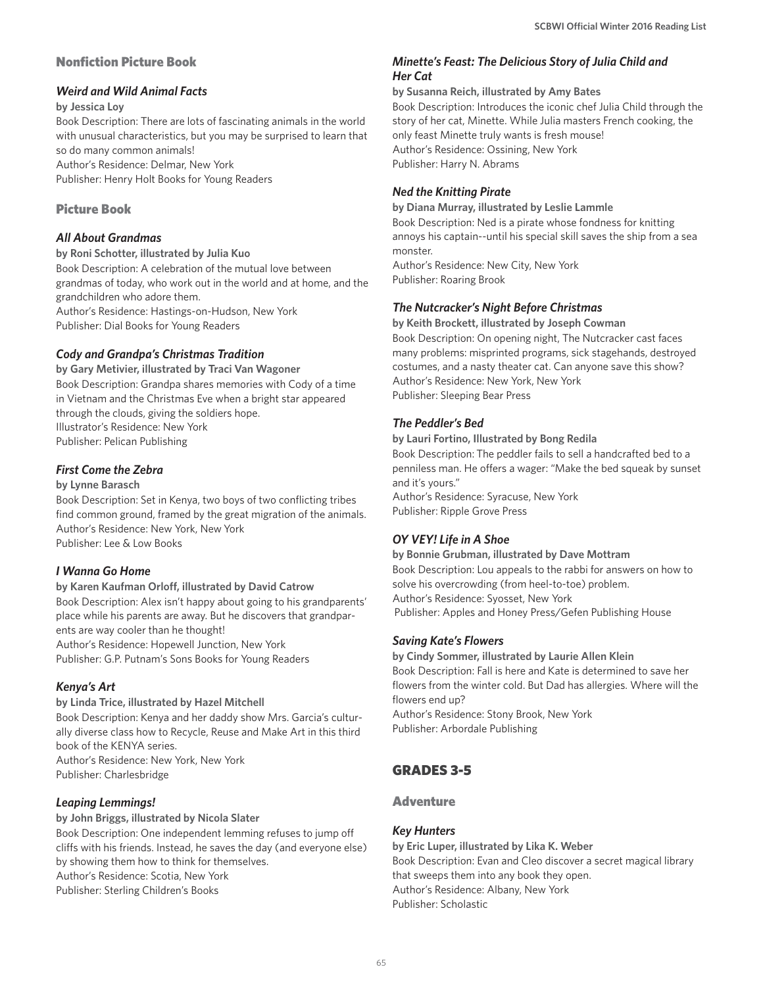## Nonfiction Picture Book

## *Weird and Wild Animal Facts*

### **by Jessica Loy**

Book Description: There are lots of fascinating animals in the world with unusual characteristics, but you may be surprised to learn that so do many common animals! Author's Residence: Delmar, New York Publisher: Henry Holt Books for Young Readers

## Picture Book

## *All About Grandmas*

**by Roni Schotter, illustrated by Julia Kuo** Book Description: A celebration of the mutual love between grandmas of today, who work out in the world and at home, and the grandchildren who adore them. Author's Residence: Hastings-on-Hudson, New York Publisher: Dial Books for Young Readers

## *Cody and Grandpa's Christmas Tradition*

**by Gary Metivier, illustrated by Traci Van Wagoner** Book Description: Grandpa shares memories with Cody of a time in Vietnam and the Christmas Eve when a bright star appeared through the clouds, giving the soldiers hope. Illustrator's Residence: New York Publisher: Pelican Publishing

## *First Come the Zebra*

### **by Lynne Barasch**

Book Description: Set in Kenya, two boys of two conflicting tribes find common ground, framed by the great migration of the animals. Author's Residence: New York, New York Publisher: Lee & Low Books

## *I Wanna Go Home*

**by Karen Kaufman Orloff, illustrated by David Catrow** Book Description: Alex isn't happy about going to his grandparents' place while his parents are away. But he discovers that grandparents are way cooler than he thought!

Author's Residence: Hopewell Junction, New York Publisher: G.P. Putnam's Sons Books for Young Readers

## *Kenya's Art*

**by Linda Trice, illustrated by Hazel Mitchell** Book Description: Kenya and her daddy show Mrs. Garcia's culturally diverse class how to Recycle, Reuse and Make Art in this third book of the KENYA series. Author's Residence: New York, New York Publisher: Charlesbridge

## *Leaping Lemmings!*

**by John Briggs, illustrated by Nicola Slater** Book Description: One independent lemming refuses to jump off cliffs with his friends. Instead, he saves the day (and everyone else) by showing them how to think for themselves. Author's Residence: Scotia, New York Publisher: Sterling Children's Books

## *Minette's Feast: The Delicious Story of Julia Child and Her Cat*

### **by Susanna Reich, illustrated by Amy Bates**

Book Description: Introduces the iconic chef Julia Child through the story of her cat, Minette. While Julia masters French cooking, the only feast Minette truly wants is fresh mouse! Author's Residence: Ossining, New York Publisher: Harry N. Abrams

## *Ned the Knitting Pirate*

**by Diana Murray, illustrated by Leslie Lammle** Book Description: Ned is a pirate whose fondness for knitting annoys his captain--until his special skill saves the ship from a sea monster. Author's Residence: New City, New York Publisher: Roaring Brook

## *The Nutcracker's Night Before Christmas*

**by Keith Brockett, illustrated by Joseph Cowman** Book Description: On opening night, The Nutcracker cast faces many problems: misprinted programs, sick stagehands, destroyed costumes, and a nasty theater cat. Can anyone save this show? Author's Residence: New York, New York Publisher: Sleeping Bear Press

## *The Peddler's Bed*

### **by Lauri Fortino, Illustrated by Bong Redila**

Book Description: The peddler fails to sell a handcrafted bed to a penniless man. He offers a wager: "Make the bed squeak by sunset and it's yours."

Author's Residence: Syracuse, New York Publisher: Ripple Grove Press

## *OY VEY! Life in A Shoe*

**by Bonnie Grubman, illustrated by Dave Mottram** Book Description: Lou appeals to the rabbi for answers on how to solve his overcrowding (from heel-to-toe) problem. Author's Residence: Syosset, New York Publisher: Apples and Honey Press/Gefen Publishing House

## *Saving Kate's Flowers*

**by Cindy Sommer, illustrated by Laurie Allen Klein** Book Description: Fall is here and Kate is determined to save her flowers from the winter cold. But Dad has allergies. Where will the flowers end up? Author's Residence: Stony Brook, New York Publisher: Arbordale Publishing

## GRADES 3-5

## Adventure

## *Key Hunters*

**by Eric Luper, illustrated by Lika K. Weber** Book Description: Evan and Cleo discover a secret magical library that sweeps them into any book they open. Author's Residence: Albany, New York Publisher: Scholastic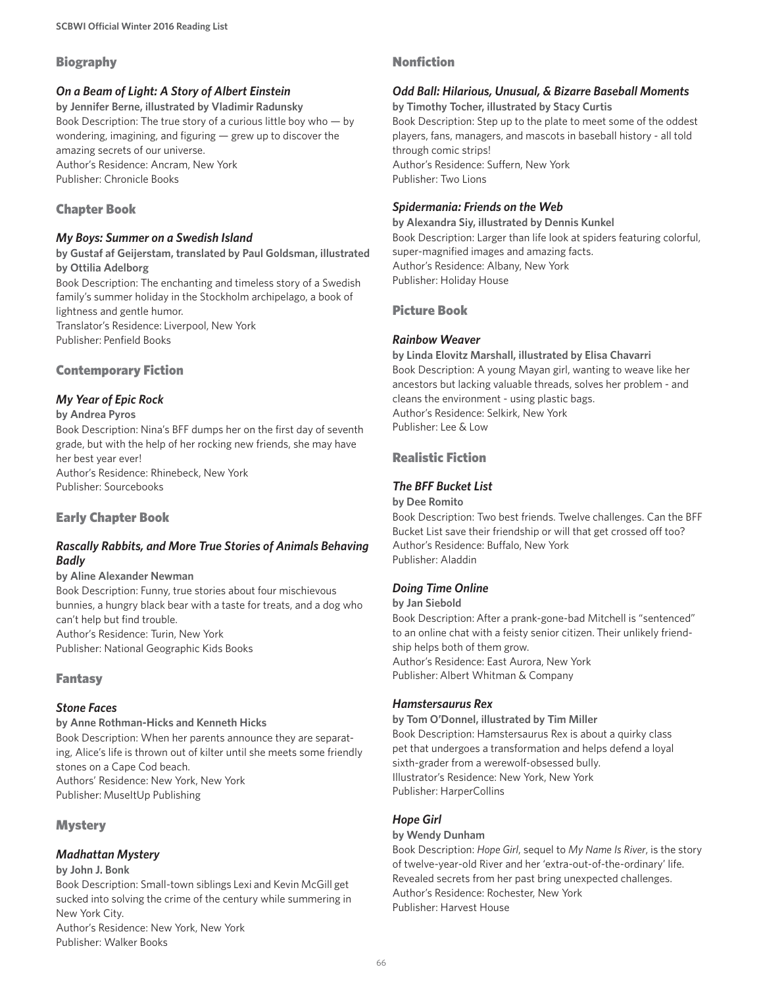## Biography

## *On a Beam of Light: A Story of Albert Einstein*

**by Jennifer Berne, illustrated by Vladimir Radunsky** Book Description: The true story of a curious little boy who — by wondering, imagining, and figuring — grew up to discover the amazing secrets of our universe. Author's Residence: Ancram, New York Publisher: Chronicle Books

## Chapter Book

### *My Boys: Summer on a Swedish Island*

**by Gustaf af Geijerstam, translated by Paul Goldsman, illustrated by Ottilia Adelborg**

Book Description: The enchanting and timeless story of a Swedish family's summer holiday in the Stockholm archipelago, a book of lightness and gentle humor. Translator's Residence: Liverpool, New York

Publisher: Penfield Books

## Contemporary Fiction

## *My Year of Epic Rock*

#### **by Andrea Pyros**

Book Description: Nina's BFF dumps her on the first day of seventh grade, but with the help of her rocking new friends, she may have her best year ever! Author's Residence: Rhinebeck, New York Publisher: Sourcebooks

## Early Chapter Book

## *Rascally Rabbits, and More True Stories of Animals Behaving Badly*

#### **by Aline Alexander Newman**

Book Description: Funny, true stories about four mischievous bunnies, a hungry black bear with a taste for treats, and a dog who can't help but find trouble. Author's Residence: Turin, New York Publisher: National Geographic Kids Books

### Fantasy

### *Stone Faces*

#### **by Anne Rothman-Hicks and Kenneth Hicks**

Book Description: When her parents announce they are separating, Alice's life is thrown out of kilter until she meets some friendly stones on a Cape Cod beach. Authors' Residence: New York, New York Publisher: MuseItUp Publishing

## **Mystery**

## *Madhattan Mystery*

#### **by John J. Bonk**

Book Description: Small-town siblings Lexi and Kevin McGill get sucked into solving the crime of the century while summering in New York City.

Author's Residence: New York, New York Publisher: Walker Books

## Nonfiction

## *Odd Ball: Hilarious, Unusual, & Bizarre Baseball Moments*

**by Timothy Tocher, illustrated by Stacy Curtis**

Book Description: Step up to the plate to meet some of the oddest players, fans, managers, and mascots in baseball history - all told through comic strips! Author's Residence: Suffern, New York

Publisher: Two Lions

## *Spidermania: Friends on the Web*

**by Alexandra Siy, illustrated by Dennis Kunkel** Book Description: Larger than life look at spiders featuring colorful, super-magnified images and amazing facts. Author's Residence: Albany, New York Publisher: Holiday House

## Picture Book

## *Rainbow Weaver*

#### **by Linda Elovitz Marshall, illustrated by Elisa Chavarri**

Book Description: A young Mayan girl, wanting to weave like her ancestors but lacking valuable threads, solves her problem - and cleans the environment - using plastic bags. Author's Residence: Selkirk, New York Publisher: Lee & Low

## Realistic Fiction

## *The BFF Bucket List*

### **by Dee Romito**

Book Description: Two best friends. Twelve challenges. Can the BFF Bucket List save their friendship or will that get crossed off too? Author's Residence: Buffalo, New York Publisher: Aladdin

## *Doing Time Online*

#### **by Jan Siebold**

Book Description: After a prank-gone-bad Mitchell is "sentenced" to an online chat with a feisty senior citizen. Their unlikely friendship helps both of them grow. Author's Residence: East Aurora, New York Publisher: Albert Whitman & Company

### *Hamstersaurus Rex*

#### **by Tom O'Donnel, illustrated by Tim Miller** Book Description: Hamstersaurus Rex is about a quirky class pet that undergoes a transformation and helps defend a loyal sixth-grader from a werewolf-obsessed bully. Illustrator's Residence: New York, New York Publisher: HarperCollins

### *Hope Girl*

## **by Wendy Dunham**

Book Description: *Hope Girl*, sequel to *My Name Is River*, is the story of twelve-year-old River and her 'extra-out-of-the-ordinary' life. Revealed secrets from her past bring unexpected challenges. Author's Residence: Rochester, New York Publisher: Harvest House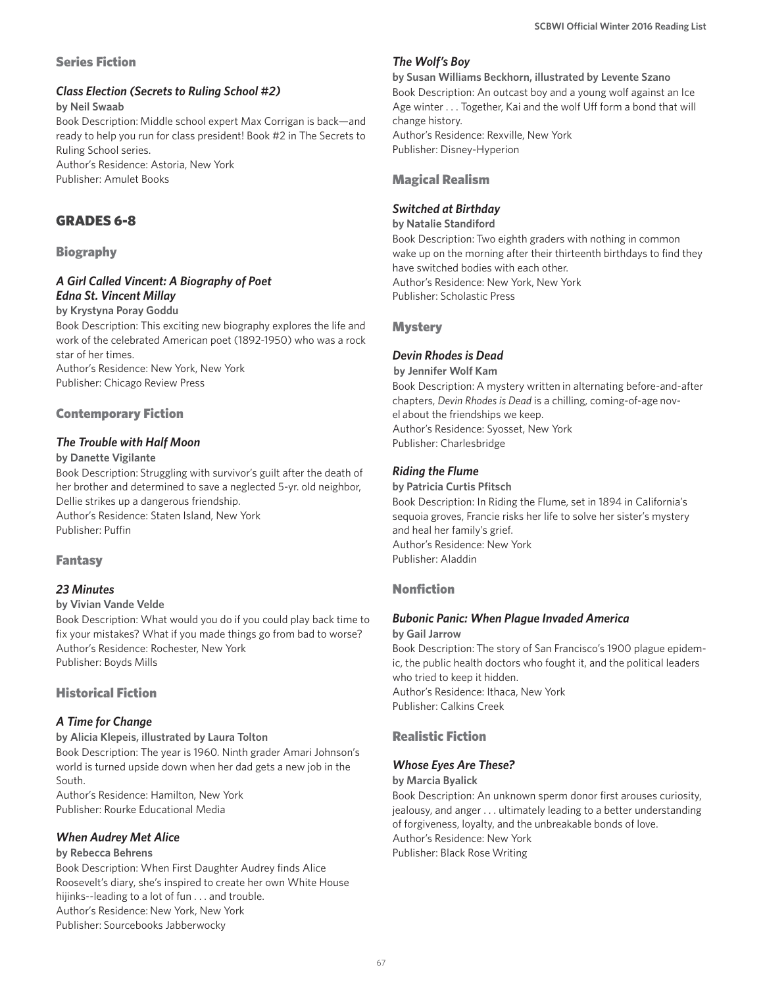## Series Fiction

## *Class Election (Secrets to Ruling School #2)*

**by Neil Swaab**

Book Description: Middle school expert Max Corrigan is back—and ready to help you run for class president! Book #2 in The Secrets to Ruling School series.

Author's Residence: Astoria, New York Publisher: Amulet Books

## GRADES 6-8

## Biography

## *A Girl Called Vincent: A Biography of Poet Edna St. Vincent Millay*

**by Krystyna Poray Goddu**

Book Description: This exciting new biography explores the life and work of the celebrated American poet (1892-1950) who was a rock star of her times.

Author's Residence: New York, New York Publisher: Chicago Review Press

## Contemporary Fiction

## *The Trouble with Half Moon*

## **by Danette Vigilante**

Book Description: Struggling with survivor's guilt after the death of her brother and determined to save a neglected 5-yr. old neighbor, Dellie strikes up a dangerous friendship. Author's Residence: Staten Island, New York

Publisher: Puffin

## Fantasy

## *23 Minutes*

### **by Vivian Vande Velde**

Book Description: What would you do if you could play back time to fix your mistakes? What if you made things go from bad to worse? Author's Residence: Rochester, New York Publisher: Boyds Mills

## Historical Fiction

## *A Time for Change*

**by Alicia Klepeis, illustrated by Laura Tolton** Book Description: The year is 1960. Ninth grader Amari Johnson's world is turned upside down when her dad gets a new job in the South.

Author's Residence: Hamilton, New York Publisher: Rourke Educational Media

## *When Audrey Met Alice*

## **by Rebecca Behrens**

Book Description: When First Daughter Audrey finds Alice Roosevelt's diary, she's inspired to create her own White House hijinks--leading to a lot of fun . . . and trouble. Author's Residence: New York, New York Publisher: Sourcebooks Jabberwocky

## *The Wolf's Boy*

**by Susan Williams Beckhorn, illustrated by Levente Szano** Book Description: An outcast boy and a young wolf against an Ice Age winter . . . Together, Kai and the wolf Uff form a bond that will change history. Author's Residence: Rexville, New York Publisher: Disney-Hyperion

## Magical Realism

## *Switched at Birthday*

**by Natalie Standiford**

Book Description: Two eighth graders with nothing in common wake up on the morning after their thirteenth birthdays to find they have switched bodies with each other. Author's Residence: New York, New York Publisher: Scholastic Press

**Mystery** 

## *Devin Rhodes is Dead*

 **by Jennifer Wolf Kam** Book Description: A mystery written in alternating before-and-after chapters, *Devin Rhodes is Dead* is a chilling, coming-of-age novel about the friendships we keep.

Author's Residence: Syosset, New York Publisher: Charlesbridge

## *Riding the Flume*

#### **by Patricia Curtis Pfitsch**

Book Description: In Riding the Flume, set in 1894 in California's sequoia groves, Francie risks her life to solve her sister's mystery and heal her family's grief. Author's Residence: New York Publisher: Aladdin

## Nonfiction

## *Bubonic Panic: When Plague Invaded America*

**by Gail Jarrow**

Book Description: The story of San Francisco's 1900 plague epidemic, the public health doctors who fought it, and the political leaders who tried to keep it hidden. Author's Residence: Ithaca, New York Publisher: Calkins Creek

## Realistic Fiction

## *Whose Eyes Are These?*

#### **by Marcia Byalick**

Book Description: An unknown sperm donor first arouses curiosity, jealousy, and anger . . . ultimately leading to a better understanding of forgiveness, loyalty, and the unbreakable bonds of love. Author's Residence: New York Publisher: Black Rose Writing